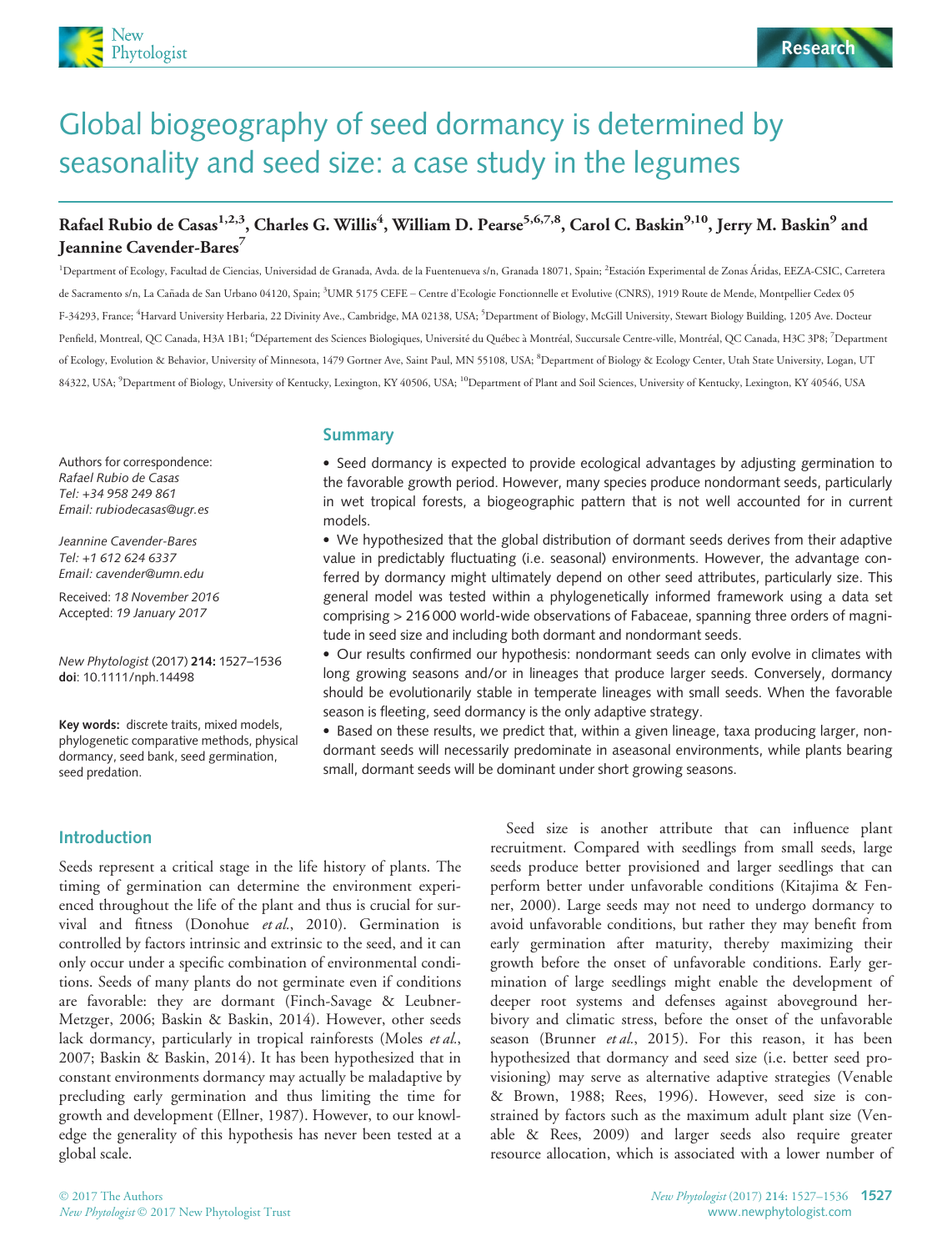

# Global biogeography of seed dormancy is determined by seasonality and seed size: a case study in the legumes

# Rafael Rubio de Casas<sup>1,2,3</sup>, Charles G. Willis<sup>4</sup>, William D. Pearse<sup>5,6,7,8</sup>, Carol C. Baskin<sup>9,10</sup>, Jerry M. Baskin<sup>9</sup> and Jeannine Cavender-Bares<sup>7</sup>

<sup>1</sup>Department of Ecology, Facultad de Ciencias, Universidad de Granada, Avda. de la Fuentenueva s/n, Granada 18071, Spain; <sup>2</sup>Estación Experimental de Zonas Áridas, EEZA-CSIC, Carretera de Sacramento s/n, La Cañada de San Urbano 04120, Spain; <sup>3</sup>UMR 5175 CEFE – Centre d'Ecologie Fonctionnelle et Evolutive (CNRS), 1919 Route de Mende, Montpellier Cedex 05 F-34293, France; <sup>4</sup>Harvard University Herbaria, 22 Divinity Ave., Cambridge, MA 02138, USA; <sup>5</sup>Department of Biology, McGill University, Stewart Biology Building, 1205 Ave. Docteur Penfield, Montreal, QC Canada, H3A 1B1; <sup>6</sup>Département des Sciences Biologiques, Université du Québec à Montréal, Succursale Centre-ville, Montréal, QC Canada, H3C 3P8; <sup>7</sup>Department of Ecology, Evolution & Behavior, University of Minnesota, 1479 Gortner Ave, Saint Paul, MN 55108, USA; <sup>8</sup>Department of Biology & Ecology Center, Utah State University, Logan, UT 84322, USA; <sup>9</sup>Department of Biology, University of Kentucky, Lexington, KY 40506, USA; <sup>10</sup>Department of Plant and Soil Sciences, University of Kentucky, Lexington, KY 40546, USA

### **Summary**

Authors for correspondence: Rafael Rubio de Casas Tel: +34 958 249 861 Email: rubiodecasas@ugr.es

Jeannine Cavender-Bares Tel: +1 612 624 6337 Email: cavender@umn.edu

Received: 18 November 2016 Accepted: 19 January 2017

New Phytologist (2017) 214: 1527–1536 doi: 10.1111/nph.14498

Key words: discrete traits, mixed models, phylogenetic comparative methods, physical dormancy, seed bank, seed germination, seed predation.

• Seed dormancy is expected to provide ecological advantages by adjusting germination to the favorable growth period. However, many species produce nondormant seeds, particularly in wet tropical forests, a biogeographic pattern that is not well accounted for in current models.

 We hypothesized that the global distribution of dormant seeds derives from their adaptive value in predictably fluctuating (i.e. seasonal) environments. However, the advantage conferred by dormancy might ultimately depend on other seed attributes, particularly size. This general model was tested within a phylogenetically informed framework using a data set comprising > 216 000 world-wide observations of Fabaceae, spanning three orders of magnitude in seed size and including both dormant and nondormant seeds.

 Our results confirmed our hypothesis: nondormant seeds can only evolve in climates with long growing seasons and/or in lineages that produce larger seeds. Conversely, dormancy should be evolutionarily stable in temperate lineages with small seeds. When the favorable season is fleeting, seed dormancy is the only adaptive strategy.

• Based on these results, we predict that, within a given lineage, taxa producing larger, nondormant seeds will necessarily predominate in aseasonal environments, while plants bearing small, dormant seeds will be dominant under short growing seasons.

# Introduction

Seeds represent a critical stage in the life history of plants. The timing of germination can determine the environment experienced throughout the life of the plant and thus is crucial for survival and fitness (Donohue et al., 2010). Germination is controlled by factors intrinsic and extrinsic to the seed, and it can only occur under a specific combination of environmental conditions. Seeds of many plants do not germinate even if conditions are favorable: they are dormant (Finch-Savage & Leubner-Metzger, 2006; Baskin & Baskin, 2014). However, other seeds lack dormancy, particularly in tropical rainforests (Moles et al., 2007; Baskin & Baskin, 2014). It has been hypothesized that in constant environments dormancy may actually be maladaptive by precluding early germination and thus limiting the time for growth and development (Ellner, 1987). However, to our knowledge the generality of this hypothesis has never been tested at a global scale.

 2017 The Authors New Phytologist © 2017 New Phytologist Trust

Seed size is another attribute that can influence plant recruitment. Compared with seedlings from small seeds, large seeds produce better provisioned and larger seedlings that can perform better under unfavorable conditions (Kitajima & Fenner, 2000). Large seeds may not need to undergo dormancy to avoid unfavorable conditions, but rather they may benefit from early germination after maturity, thereby maximizing their growth before the onset of unfavorable conditions. Early germination of large seedlings might enable the development of deeper root systems and defenses against aboveground herbivory and climatic stress, before the onset of the unfavorable season (Brunner et al., 2015). For this reason, it has been hypothesized that dormancy and seed size (i.e. better seed provisioning) may serve as alternative adaptive strategies (Venable & Brown, 1988; Rees, 1996). However, seed size is constrained by factors such as the maximum adult plant size (Venable & Rees, 2009) and larger seeds also require greater resource allocation, which is associated with a lower number of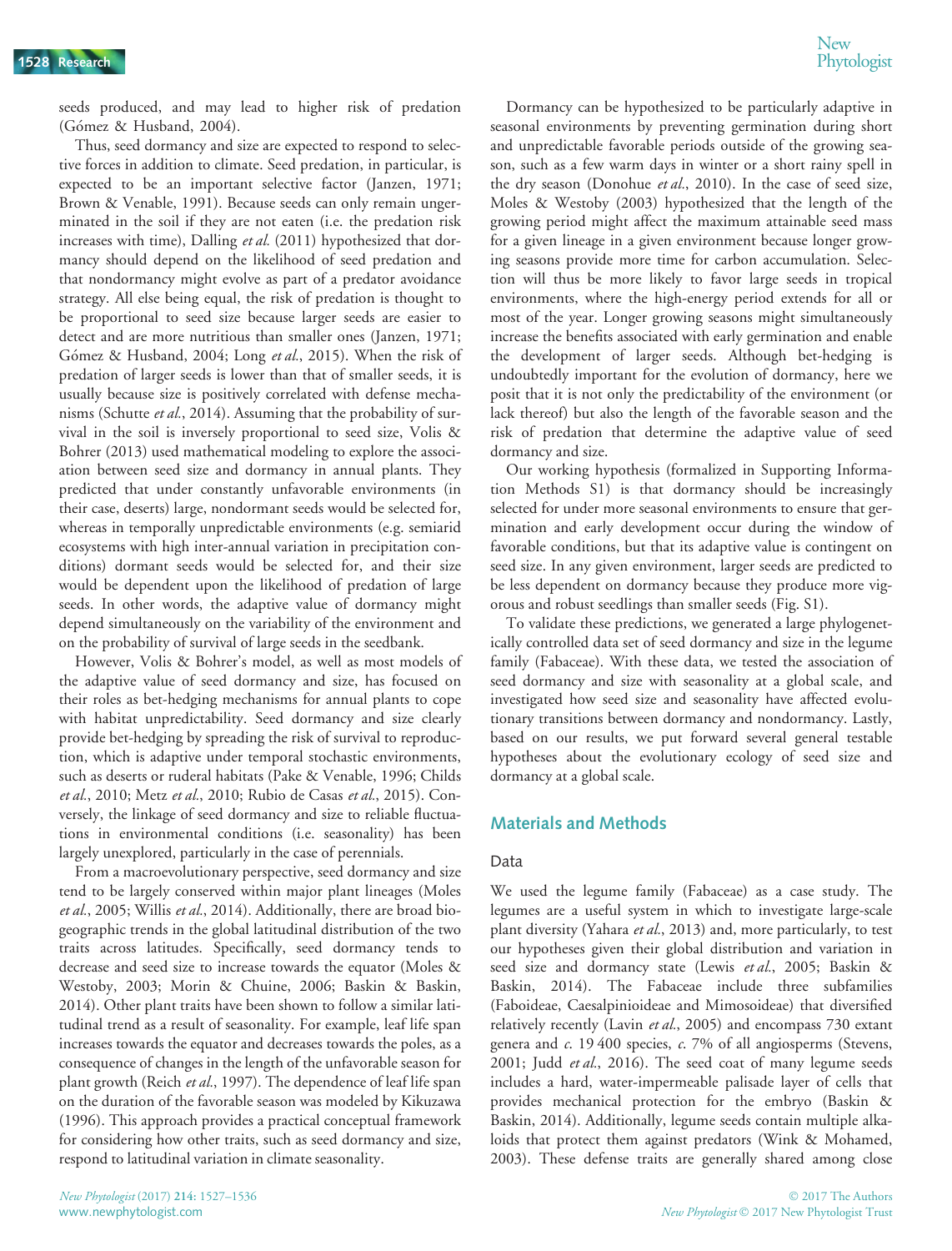seeds produced, and may lead to higher risk of predation (Gómez & Husband, 2004).

Thus, seed dormancy and size are expected to respond to selective forces in addition to climate. Seed predation, in particular, is expected to be an important selective factor (Janzen, 1971; Brown & Venable, 1991). Because seeds can only remain ungerminated in the soil if they are not eaten (i.e. the predation risk increases with time), Dalling et al. (2011) hypothesized that dormancy should depend on the likelihood of seed predation and that nondormancy might evolve as part of a predator avoidance strategy. All else being equal, the risk of predation is thought to be proportional to seed size because larger seeds are easier to detect and are more nutritious than smaller ones (Janzen, 1971; Gómez & Husband, 2004; Long et al., 2015). When the risk of predation of larger seeds is lower than that of smaller seeds, it is usually because size is positively correlated with defense mechanisms (Schutte et al., 2014). Assuming that the probability of survival in the soil is inversely proportional to seed size, Volis & Bohrer (2013) used mathematical modeling to explore the association between seed size and dormancy in annual plants. They predicted that under constantly unfavorable environments (in their case, deserts) large, nondormant seeds would be selected for, whereas in temporally unpredictable environments (e.g. semiarid ecosystems with high inter-annual variation in precipitation conditions) dormant seeds would be selected for, and their size would be dependent upon the likelihood of predation of large seeds. In other words, the adaptive value of dormancy might depend simultaneously on the variability of the environment and on the probability of survival of large seeds in the seedbank.

However, Volis & Bohrer's model, as well as most models of the adaptive value of seed dormancy and size, has focused on their roles as bet-hedging mechanisms for annual plants to cope with habitat unpredictability. Seed dormancy and size clearly provide bet-hedging by spreading the risk of survival to reproduction, which is adaptive under temporal stochastic environments, such as deserts or ruderal habitats (Pake & Venable, 1996; Childs et al., 2010; Metz et al., 2010; Rubio de Casas et al., 2015). Conversely, the linkage of seed dormancy and size to reliable fluctuations in environmental conditions (i.e. seasonality) has been largely unexplored, particularly in the case of perennials.

From a macroevolutionary perspective, seed dormancy and size tend to be largely conserved within major plant lineages (Moles et al., 2005; Willis et al., 2014). Additionally, there are broad biogeographic trends in the global latitudinal distribution of the two traits across latitudes. Specifically, seed dormancy tends to decrease and seed size to increase towards the equator (Moles & Westoby, 2003; Morin & Chuine, 2006; Baskin & Baskin, 2014). Other plant traits have been shown to follow a similar latitudinal trend as a result of seasonality. For example, leaf life span increases towards the equator and decreases towards the poles, as a consequence of changes in the length of the unfavorable season for plant growth (Reich et al., 1997). The dependence of leaf life span on the duration of the favorable season was modeled by Kikuzawa (1996). This approach provides a practical conceptual framework for considering how other traits, such as seed dormancy and size, respond to latitudinal variation in climate seasonality.

Dormancy can be hypothesized to be particularly adaptive in seasonal environments by preventing germination during short and unpredictable favorable periods outside of the growing season, such as a few warm days in winter or a short rainy spell in the dry season (Donohue et al., 2010). In the case of seed size, Moles & Westoby (2003) hypothesized that the length of the growing period might affect the maximum attainable seed mass for a given lineage in a given environment because longer growing seasons provide more time for carbon accumulation. Selection will thus be more likely to favor large seeds in tropical environments, where the high-energy period extends for all or most of the year. Longer growing seasons might simultaneously increase the benefits associated with early germination and enable the development of larger seeds. Although bet-hedging is undoubtedly important for the evolution of dormancy, here we posit that it is not only the predictability of the environment (or lack thereof) but also the length of the favorable season and the risk of predation that determine the adaptive value of seed dormancy and size.

Our working hypothesis (formalized in Supporting Information Methods S1) is that dormancy should be increasingly selected for under more seasonal environments to ensure that germination and early development occur during the window of favorable conditions, but that its adaptive value is contingent on seed size. In any given environment, larger seeds are predicted to be less dependent on dormancy because they produce more vigorous and robust seedlings than smaller seeds (Fig. S1).

To validate these predictions, we generated a large phylogenetically controlled data set of seed dormancy and size in the legume family (Fabaceae). With these data, we tested the association of seed dormancy and size with seasonality at a global scale, and investigated how seed size and seasonality have affected evolutionary transitions between dormancy and nondormancy. Lastly, based on our results, we put forward several general testable hypotheses about the evolutionary ecology of seed size and dormancy at a global scale.

# Materials and Methods

#### Data

We used the legume family (Fabaceae) as a case study. The legumes are a useful system in which to investigate large-scale plant diversity (Yahara et al., 2013) and, more particularly, to test our hypotheses given their global distribution and variation in seed size and dormancy state (Lewis et al., 2005; Baskin & Baskin, 2014). The Fabaceae include three subfamilies (Faboideae, Caesalpinioideae and Mimosoideae) that diversified relatively recently (Lavin et al., 2005) and encompass 730 extant genera and c. 19 400 species, c. 7% of all angiosperms (Stevens, 2001; Judd et al., 2016). The seed coat of many legume seeds includes a hard, water-impermeable palisade layer of cells that provides mechanical protection for the embryo (Baskin & Baskin, 2014). Additionally, legume seeds contain multiple alkaloids that protect them against predators (Wink & Mohamed, 2003). These defense traits are generally shared among close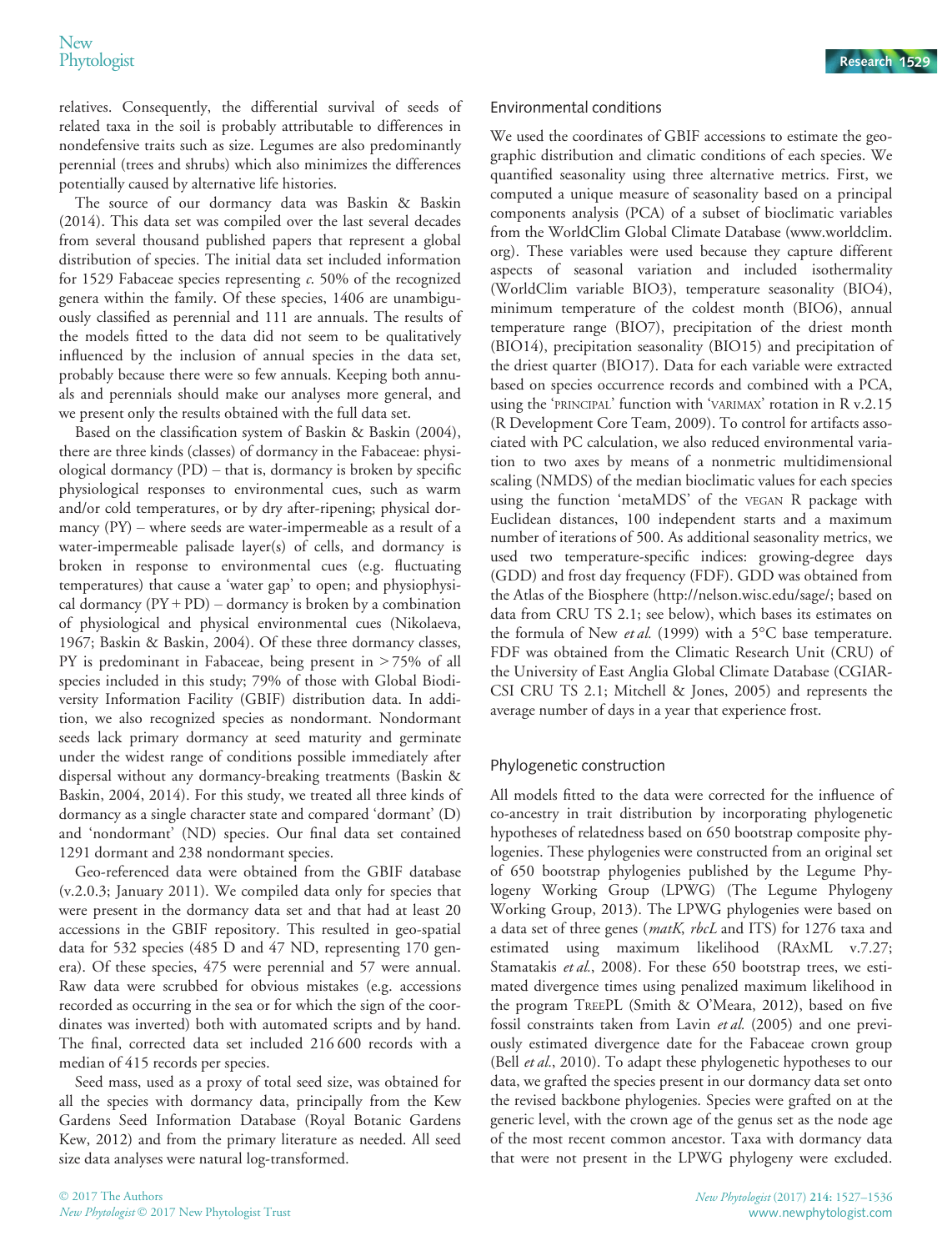relatives. Consequently, the differential survival of seeds of related taxa in the soil is probably attributable to differences in nondefensive traits such as size. Legumes are also predominantly perennial (trees and shrubs) which also minimizes the differences potentially caused by alternative life histories.

The source of our dormancy data was Baskin & Baskin (2014). This data set was compiled over the last several decades from several thousand published papers that represent a global distribution of species. The initial data set included information for 1529 Fabaceae species representing  $c$ . 50% of the recognized genera within the family. Of these species, 1406 are unambiguously classified as perennial and 111 are annuals. The results of the models fitted to the data did not seem to be qualitatively influenced by the inclusion of annual species in the data set, probably because there were so few annuals. Keeping both annuals and perennials should make our analyses more general, and we present only the results obtained with the full data set.

Based on the classification system of Baskin & Baskin (2004), there are three kinds (classes) of dormancy in the Fabaceae: physiological dormancy  $(PD)$  – that is, dormancy is broken by specific physiological responses to environmental cues, such as warm and/or cold temperatures, or by dry after-ripening; physical dormancy (PY) – where seeds are water-impermeable as a result of a water-impermeable palisade layer(s) of cells, and dormancy is broken in response to environmental cues (e.g. fluctuating temperatures) that cause a 'water gap' to open; and physiophysical dormancy  $(PY + PD)$  – dormancy is broken by a combination of physiological and physical environmental cues (Nikolaeva, 1967; Baskin & Baskin, 2004). Of these three dormancy classes, PY is predominant in Fabaceae, being present in > 75% of all species included in this study; 79% of those with Global Biodiversity Information Facility (GBIF) distribution data. In addition, we also recognized species as nondormant. Nondormant seeds lack primary dormancy at seed maturity and germinate under the widest range of conditions possible immediately after dispersal without any dormancy-breaking treatments (Baskin & Baskin, 2004, 2014). For this study, we treated all three kinds of dormancy as a single character state and compared 'dormant' (D) and 'nondormant' (ND) species. Our final data set contained 1291 dormant and 238 nondormant species.

Geo-referenced data were obtained from the GBIF database (v.2.0.3; January 2011). We compiled data only for species that were present in the dormancy data set and that had at least 20 accessions in the GBIF repository. This resulted in geo-spatial data for 532 species (485 D and 47 ND, representing 170 genera). Of these species, 475 were perennial and 57 were annual. Raw data were scrubbed for obvious mistakes (e.g. accessions recorded as occurring in the sea or for which the sign of the coordinates was inverted) both with automated scripts and by hand. The final, corrected data set included 216 600 records with a median of 415 records per species.

Seed mass, used as a proxy of total seed size, was obtained for all the species with dormancy data, principally from the Kew Gardens Seed Information Database (Royal Botanic Gardens Kew, 2012) and from the primary literature as needed. All seed size data analyses were natural log-transformed.

# Environmental conditions

We used the coordinates of GBIF accessions to estimate the geographic distribution and climatic conditions of each species. We quantified seasonality using three alternative metrics. First, we computed a unique measure of seasonality based on a principal components analysis (PCA) of a subset of bioclimatic variables from the WorldClim Global Climate Database [\(www.worldclim.](http://www.worldclim.org) [org](http://www.worldclim.org)). These variables were used because they capture different aspects of seasonal variation and included isothermality (WorldClim variable BIO3), temperature seasonality (BIO4), minimum temperature of the coldest month (BIO6), annual temperature range (BIO7), precipitation of the driest month (BIO14), precipitation seasonality (BIO15) and precipitation of the driest quarter (BIO17). Data for each variable were extracted based on species occurrence records and combined with a PCA, using the 'PRINCIPAL' function with 'VARIMAX' rotation in R v.2.15 (R Development Core Team, 2009). To control for artifacts associated with PC calculation, we also reduced environmental variation to two axes by means of a nonmetric multidimensional scaling (NMDS) of the median bioclimatic values for each species using the function 'metaMDS' of the VEGAN R package with Euclidean distances, 100 independent starts and a maximum number of iterations of 500. As additional seasonality metrics, we used two temperature-specific indices: growing-degree days (GDD) and frost day frequency (FDF). GDD was obtained from the Atlas of the Biosphere (<http://nelson.wisc.edu/sage/>; based on data from CRU TS 2.1; see below), which bases its estimates on the formula of New et al. (1999) with a 5°C base temperature. FDF was obtained from the Climatic Research Unit (CRU) of the University of East Anglia Global Climate Database (CGIAR-CSI CRU TS 2.1; Mitchell & Jones, 2005) and represents the average number of days in a year that experience frost.

# Phylogenetic construction

All models fitted to the data were corrected for the influence of co-ancestry in trait distribution by incorporating phylogenetic hypotheses of relatedness based on 650 bootstrap composite phylogenies. These phylogenies were constructed from an original set of 650 bootstrap phylogenies published by the Legume Phylogeny Working Group (LPWG) (The Legume Phylogeny Working Group, 2013). The LPWG phylogenies were based on a data set of three genes (matK, rbcL and ITS) for 1276 taxa and estimated using maximum likelihood (RAXML v.7.27; Stamatakis et al., 2008). For these 650 bootstrap trees, we estimated divergence times using penalized maximum likelihood in the program TREEPL (Smith & O'Meara, 2012), based on five fossil constraints taken from Lavin et al. (2005) and one previously estimated divergence date for the Fabaceae crown group (Bell *et al.*, 2010). To adapt these phylogenetic hypotheses to our data, we grafted the species present in our dormancy data set onto the revised backbone phylogenies. Species were grafted on at the generic level, with the crown age of the genus set as the node age of the most recent common ancestor. Taxa with dormancy data that were not present in the LPWG phylogeny were excluded.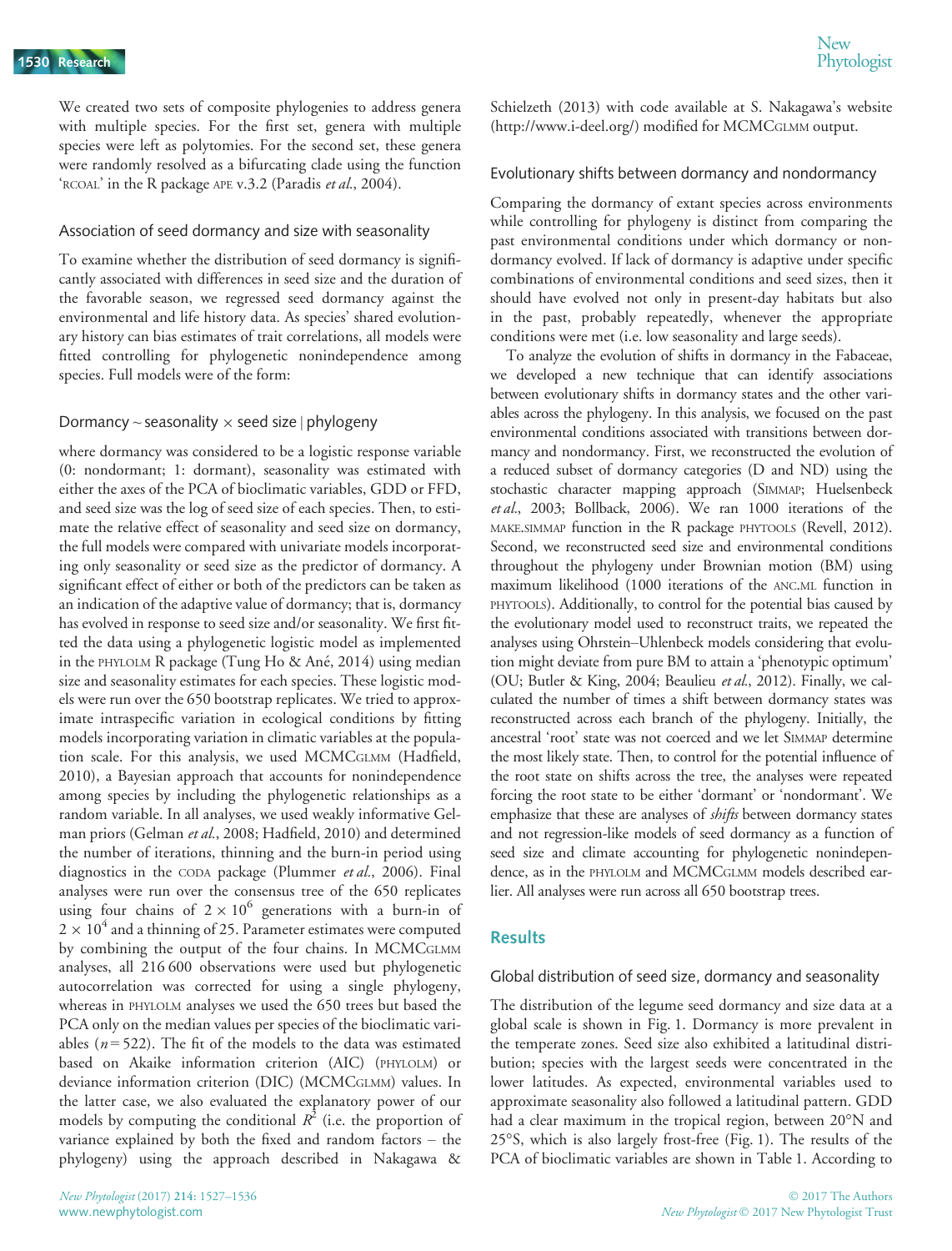We created two sets of composite phylogenies to address genera with multiple species. For the first set, genera with multiple species were left as polytomies. For the second set, these genera were randomly resolved as a bifurcating clade using the function 'RCOAL' in the R package APE v.3.2 (Paradis et al., 2004).

#### Association of seed dormancy and size with seasonality

To examine whether the distribution of seed dormancy is significantly associated with differences in seed size and the duration of the favorable season, we regressed seed dormancy against the environmental and life history data. As species' shared evolutionary history can bias estimates of trait correlations, all models were fitted controlling for phylogenetic nonindependence among species. Full models were of the form:

#### Dormancy  $\sim$  seasonality  $\times$  seed size | phylogeny

where dormancy was considered to be a logistic response variable (0: nondormant; 1: dormant), seasonality was estimated with either the axes of the PCA of bioclimatic variables, GDD or FFD, and seed size was the log of seed size of each species. Then, to estimate the relative effect of seasonality and seed size on dormancy, the full models were compared with univariate models incorporating only seasonality or seed size as the predictor of dormancy. A significant effect of either or both of the predictors can be taken as an indication of the adaptive value of dormancy; that is, dormancy has evolved in response to seed size and/or seasonality. We first fitted the data using a phylogenetic logistic model as implemented in the PHYLOLM R package (Tung Ho & Ane, 2014) using median size and seasonality estimates for each species. These logistic models were run over the 650 bootstrap replicates. We tried to approximate intraspecific variation in ecological conditions by fitting models incorporating variation in climatic variables at the population scale. For this analysis, we used MCMCGLMM (Hadfield, 2010), a Bayesian approach that accounts for nonindependence among species by including the phylogenetic relationships as a random variable. In all analyses, we used weakly informative Gelman priors (Gelman et al., 2008; Hadfield, 2010) and determined the number of iterations, thinning and the burn-in period using diagnostics in the CODA package (Plummer et al., 2006). Final analyses were run over the consensus tree of the 650 replicates using four chains of  $2 \times 10^6$  generations with a burn-in of  $2 \times 10^4$  and a thinning of 25. Parameter estimates were computed by combining the output of the four chains. In MCMCGLMM analyses, all 216 600 observations were used but phylogenetic autocorrelation was corrected for using a single phylogeny, whereas in PHYLOLM analyses we used the 650 trees but based the PCA only on the median values per species of the bioclimatic variables ( $n = 522$ ). The fit of the models to the data was estimated based on Akaike information criterion (AIC) (PHYLOLM) or deviance information criterion (DIC) (MCMCGLMM) values. In the latter case, we also evaluated the explanatory power of our models by computing the conditional  $R^2$  (i.e. the proportion of variance explained by both the fixed and random factors – the phylogeny) using the approach described in Nakagawa &

Schielzeth (2013) with code available at S. Nakagawa's website ([http://www.i-deel.org/\)](http://www.i-deel.org/) modified for MCMCGLMM output.

#### Evolutionary shifts between dormancy and nondormancy

Comparing the dormancy of extant species across environments while controlling for phylogeny is distinct from comparing the past environmental conditions under which dormancy or nondormancy evolved. If lack of dormancy is adaptive under specific combinations of environmental conditions and seed sizes, then it should have evolved not only in present-day habitats but also in the past, probably repeatedly, whenever the appropriate conditions were met (i.e. low seasonality and large seeds).

To analyze the evolution of shifts in dormancy in the Fabaceae, we developed a new technique that can identify associations between evolutionary shifts in dormancy states and the other variables across the phylogeny. In this analysis, we focused on the past environmental conditions associated with transitions between dormancy and nondormancy. First, we reconstructed the evolution of a reduced subset of dormancy categories (D and ND) using the stochastic character mapping approach (SIMMAP; Huelsenbeck et al., 2003; Bollback, 2006). We ran 1000 iterations of the MAKE.SIMMAP function in the R package PHYTOOLS (Revell, 2012). Second, we reconstructed seed size and environmental conditions throughout the phylogeny under Brownian motion (BM) using maximum likelihood (1000 iterations of the ANC.ML function in PHYTOOLS). Additionally, to control for the potential bias caused by the evolutionary model used to reconstruct traits, we repeated the analyses using Ohrstein–Uhlenbeck models considering that evolution might deviate from pure BM to attain a 'phenotypic optimum' (OU; Butler & King, 2004; Beaulieu et al., 2012). Finally, we calculated the number of times a shift between dormancy states was reconstructed across each branch of the phylogeny. Initially, the ancestral 'root' state was not coerced and we let SIMMAP determine the most likely state. Then, to control for the potential influence of the root state on shifts across the tree, the analyses were repeated forcing the root state to be either 'dormant' or 'nondormant'. We emphasize that these are analyses of *shifts* between dormancy states and not regression-like models of seed dormancy as a function of seed size and climate accounting for phylogenetic nonindependence, as in the PHYLOLM and MCMCGLMM models described earlier. All analyses were run across all 650 bootstrap trees.

# **Results**

# Global distribution of seed size, dormancy and seasonality

The distribution of the legume seed dormancy and size data at a global scale is shown in Fig. 1. Dormancy is more prevalent in the temperate zones. Seed size also exhibited a latitudinal distribution; species with the largest seeds were concentrated in the lower latitudes. As expected, environmental variables used to approximate seasonality also followed a latitudinal pattern. GDD had a clear maximum in the tropical region, between 20°N and 25°S, which is also largely frost-free (Fig. 1). The results of the PCA of bioclimatic variables are shown in Table 1. According to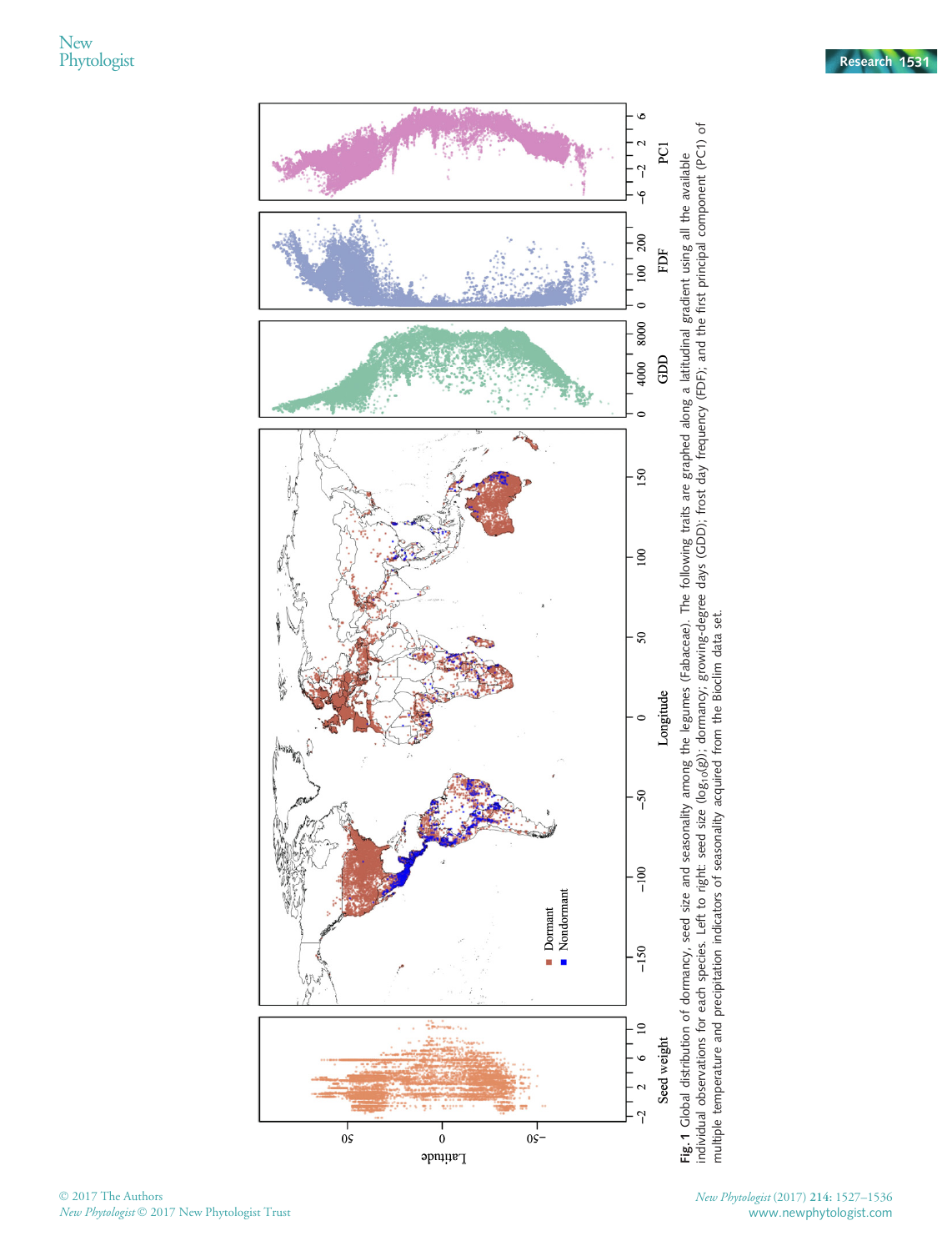

 2017 The Authors New Phytologist © 2017 New Phytologist Trust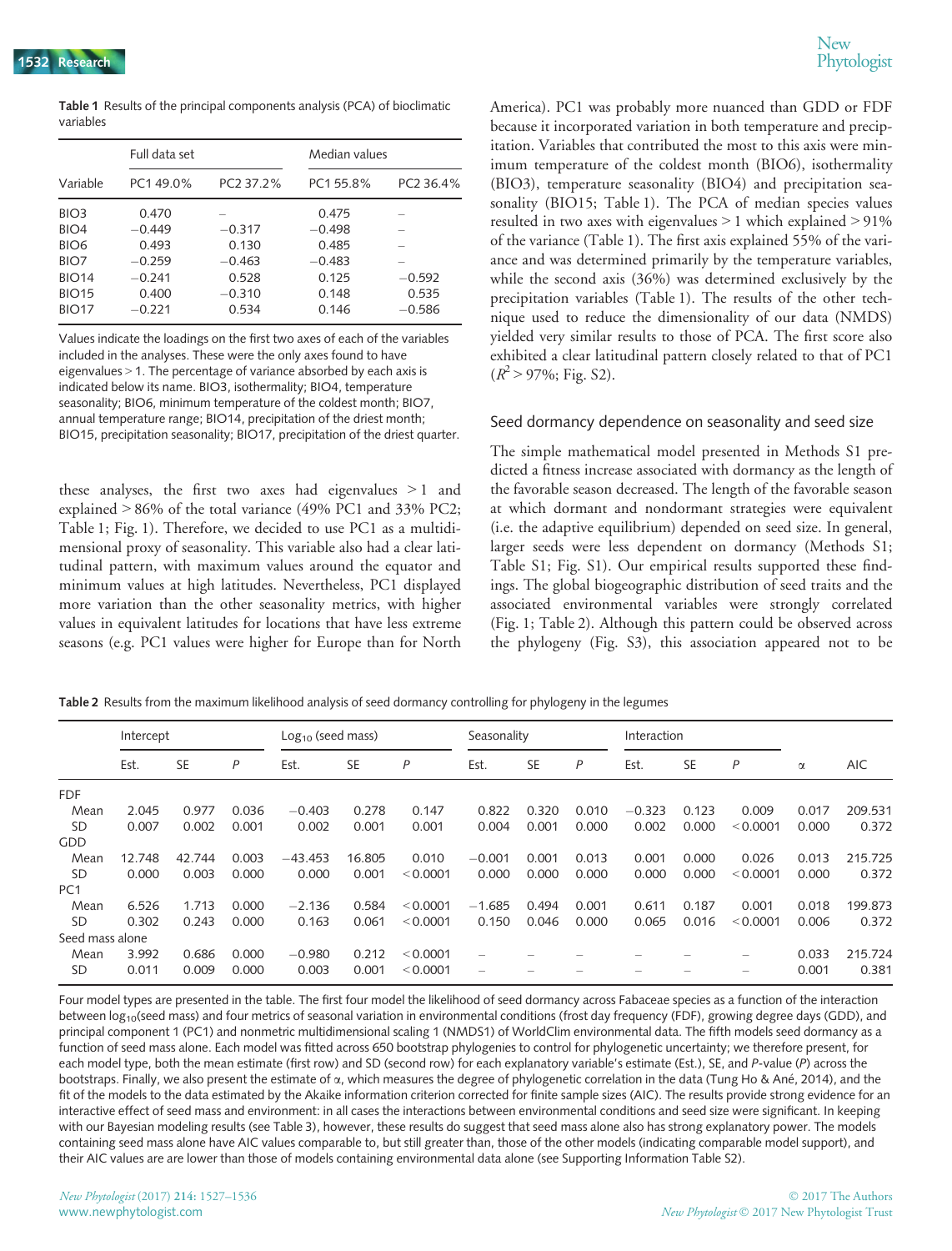|           | <b>Table 1</b> Results of the principal components analysis (PCA) of bioclimatic |  |
|-----------|----------------------------------------------------------------------------------|--|
| variables |                                                                                  |  |

|                   | Full data set |                       | Median values |                       |  |  |  |
|-------------------|---------------|-----------------------|---------------|-----------------------|--|--|--|
| Variable          | PC1 49.0%     | PC <sub>2</sub> 37.2% | PC1 55.8%     | PC <sub>2</sub> 36.4% |  |  |  |
| BIO <sub>3</sub>  | 0.470         |                       | 0.475         |                       |  |  |  |
| BIO <sub>4</sub>  | $-0.449$      | $-0.317$              | $-0.498$      |                       |  |  |  |
| <b>BIO6</b>       | 0.493         | 0.130                 | 0.485         |                       |  |  |  |
| BIO <sub>7</sub>  | $-0.259$      | $-0.463$              | $-0.483$      |                       |  |  |  |
| <b>BIO14</b>      | $-0.241$      | 0.528                 | 0.125         | $-0.592$              |  |  |  |
| <b>BIO15</b>      | 0.400         | $-0.310$              | 0.148         | 0.535                 |  |  |  |
| BIO <sub>17</sub> | $-0.221$      | 0.534                 | 0.146         | $-0.586$              |  |  |  |
|                   |               |                       |               |                       |  |  |  |

Values indicate the loadings on the first two axes of each of the variables included in the analyses. These were the only axes found to have eigenvalues > 1. The percentage of variance absorbed by each axis is indicated below its name. BIO3, isothermality; BIO4, temperature seasonality; BIO6, minimum temperature of the coldest month; BIO7, annual temperature range; BIO14, precipitation of the driest month; BIO15, precipitation seasonality; BIO17, precipitation of the driest quarter.

these analyses, the first two axes had eigenvalues  $>1$  and explained > 86% of the total variance (49% PC1 and 33% PC2; Table 1; Fig. 1). Therefore, we decided to use PC1 as a multidimensional proxy of seasonality. This variable also had a clear latitudinal pattern, with maximum values around the equator and minimum values at high latitudes. Nevertheless, PC1 displayed more variation than the other seasonality metrics, with higher values in equivalent latitudes for locations that have less extreme seasons (e.g. PC1 values were higher for Europe than for North America). PC1 was probably more nuanced than GDD or FDF because it incorporated variation in both temperature and precipitation. Variables that contributed the most to this axis were minimum temperature of the coldest month (BIO6), isothermality (BIO3), temperature seasonality (BIO4) and precipitation seasonality (BIO15; Table 1). The PCA of median species values resulted in two axes with eigenvalues > 1 which explained > 91% of the variance (Table 1). The first axis explained 55% of the variance and was determined primarily by the temperature variables, while the second axis (36%) was determined exclusively by the precipitation variables (Table 1). The results of the other technique used to reduce the dimensionality of our data (NMDS) yielded very similar results to those of PCA. The first score also exhibited a clear latitudinal pattern closely related to that of PC1  $(R^2 > 97\%; Fig. S2).$ 

#### Seed dormancy dependence on seasonality and seed size

The simple mathematical model presented in Methods S1 predicted a fitness increase associated with dormancy as the length of the favorable season decreased. The length of the favorable season at which dormant and nondormant strategies were equivalent (i.e. the adaptive equilibrium) depended on seed size. In general, larger seeds were less dependent on dormancy (Methods S1; Table S1; Fig. S1). Our empirical results supported these findings. The global biogeographic distribution of seed traits and the associated environmental variables were strongly correlated (Fig. 1; Table 2). Although this pattern could be observed across the phylogeny (Fig. S3), this association appeared not to be

Table 2 Results from the maximum likelihood analysis of seed dormancy controlling for phylogeny in the legumes

|                 | Intercept |           | $Log10$ (seed mass) |           | Seasonality |          | Interaction |           |       |          |           |          |          |            |
|-----------------|-----------|-----------|---------------------|-----------|-------------|----------|-------------|-----------|-------|----------|-----------|----------|----------|------------|
|                 | Est.      | <b>SE</b> | P                   | Est.      | <b>SE</b>   | P        | Est.        | <b>SE</b> | P     | Est.     | <b>SE</b> | P        | $\alpha$ | <b>AIC</b> |
| <b>FDF</b>      |           |           |                     |           |             |          |             |           |       |          |           |          |          |            |
| Mean            | 2.045     | 0.977     | 0.036               | $-0.403$  | 0.278       | 0.147    | 0.822       | 0.320     | 0.010 | $-0.323$ | 0.123     | 0.009    | 0.017    | 209.531    |
| <b>SD</b>       | 0.007     | 0.002     | 0.001               | 0.002     | 0.001       | 0.001    | 0.004       | 0.001     | 0.000 | 0.002    | 0.000     | < 0.0001 | 0.000    | 0.372      |
| <b>GDD</b>      |           |           |                     |           |             |          |             |           |       |          |           |          |          |            |
| Mean            | 12.748    | 42.744    | 0.003               | $-43.453$ | 16.805      | 0.010    | $-0.001$    | 0.001     | 0.013 | 0.001    | 0.000     | 0.026    | 0.013    | 215.725    |
| <b>SD</b>       | 0.000     | 0.003     | 0.000               | 0.000     | 0.001       | < 0.0001 | 0.000       | 0.000     | 0.000 | 0.000    | 0.000     | < 0.0001 | 0.000    | 0.372      |
| PC <sub>1</sub> |           |           |                     |           |             |          |             |           |       |          |           |          |          |            |
| Mean            | 6.526     | 1.713     | 0.000               | $-2.136$  | 0.584       | < 0.0001 | $-1.685$    | 0.494     | 0.001 | 0.611    | 0.187     | 0.001    | 0.018    | 199.873    |
| <b>SD</b>       | 0.302     | 0.243     | 0.000               | 0.163     | 0.061       | < 0.0001 | 0.150       | 0.046     | 0.000 | 0.065    | 0.016     | < 0.0001 | 0.006    | 0.372      |
| Seed mass alone |           |           |                     |           |             |          |             |           |       |          |           |          |          |            |
| Mean            | 3.992     | 0.686     | 0.000               | $-0.980$  | 0.212       | < 0.0001 |             |           |       |          |           |          | 0.033    | 215.724    |
| <b>SD</b>       | 0.011     | 0.009     | 0.000               | 0.003     | 0.001       | < 0.0001 |             |           |       |          |           |          | 0.001    | 0.381      |

Four model types are presented in the table. The first four model the likelihood of seed dormancy across Fabaceae species as a function of the interaction between log<sub>10</sub>(seed mass) and four metrics of seasonal variation in environmental conditions (frost day frequency (FDF), growing degree days (GDD), and principal component 1 (PC1) and nonmetric multidimensional scaling 1 (NMDS1) of WorldClim environmental data. The fifth models seed dormancy as a function of seed mass alone. Each model was fitted across 650 bootstrap phylogenies to control for phylogenetic uncertainty; we therefore present, for each model type, both the mean estimate (first row) and SD (second row) for each explanatory variable's estimate (Est.), SE, and P-value (P) across the bootstraps. Finally, we also present the estimate of  $\alpha$ , which measures the degree of phylogenetic correlation in the data (Tung Ho & Ané, 2014), and the fit of the models to the data estimated by the Akaike information criterion corrected for finite sample sizes (AIC). The results provide strong evidence for an interactive effect of seed mass and environment: in all cases the interactions between environmental conditions and seed size were significant. In keeping with our Bayesian modeling results (see Table 3), however, these results do suggest that seed mass alone also has strong explanatory power. The models containing seed mass alone have AIC values comparable to, but still greater than, those of the other models (indicating comparable model support), and their AIC values are are lower than those of models containing environmental data alone (see Supporting Information Table S2).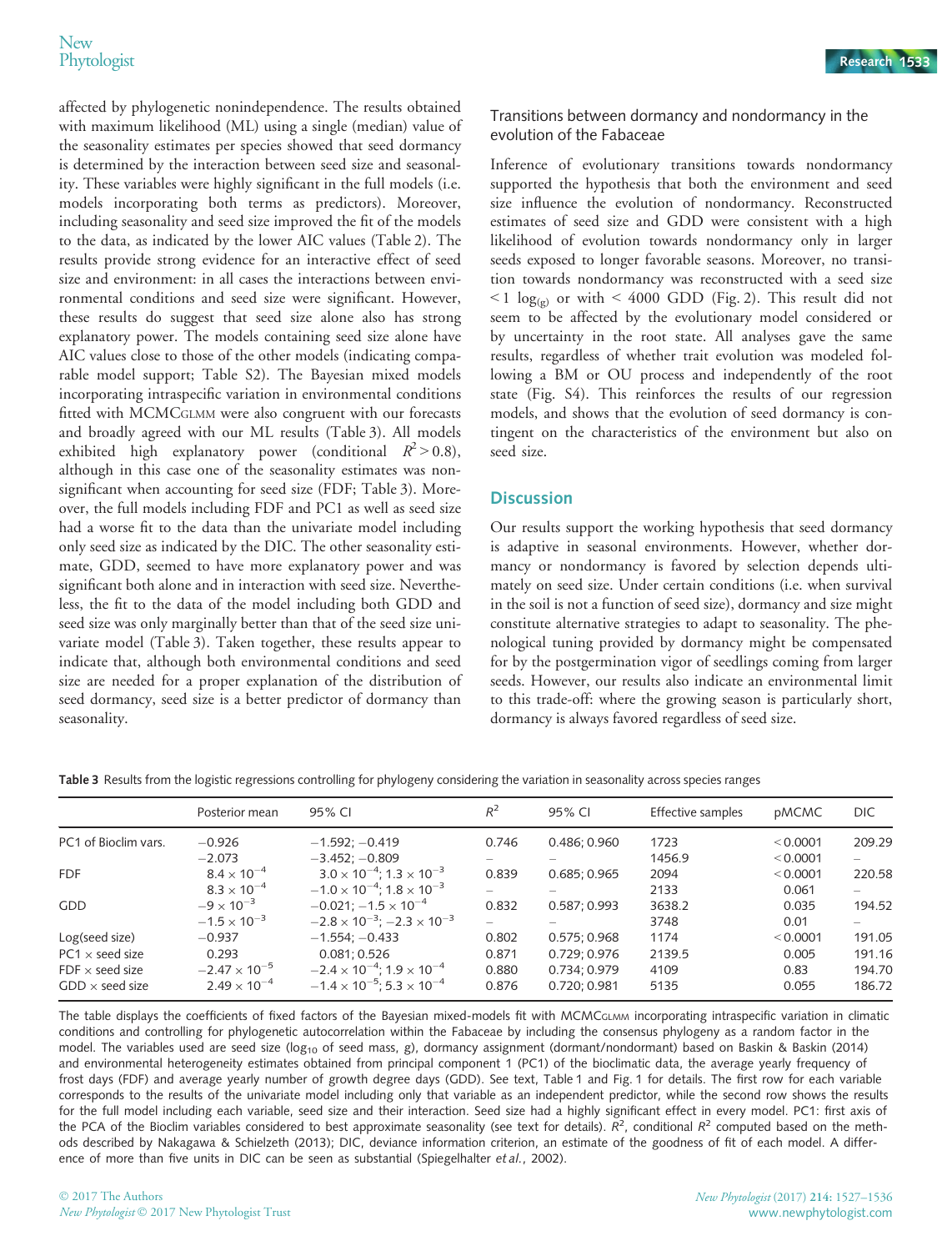affected by phylogenetic nonindependence. The results obtained with maximum likelihood (ML) using a single (median) value of the seasonality estimates per species showed that seed dormancy is determined by the interaction between seed size and seasonality. These variables were highly significant in the full models (i.e. models incorporating both terms as predictors). Moreover, including seasonality and seed size improved the fit of the models to the data, as indicated by the lower AIC values (Table 2). The results provide strong evidence for an interactive effect of seed size and environment: in all cases the interactions between environmental conditions and seed size were significant. However, these results do suggest that seed size alone also has strong explanatory power. The models containing seed size alone have AIC values close to those of the other models (indicating comparable model support; Table S2). The Bayesian mixed models incorporating intraspecific variation in environmental conditions fitted with MCMCGLMM were also congruent with our forecasts and broadly agreed with our ML results (Table 3). All models exhibited high explanatory power (conditional  $R^2 > 0.8$ ), although in this case one of the seasonality estimates was nonsignificant when accounting for seed size (FDF; Table 3). Moreover, the full models including FDF and PC1 as well as seed size had a worse fit to the data than the univariate model including only seed size as indicated by the DIC. The other seasonality estimate, GDD, seemed to have more explanatory power and was significant both alone and in interaction with seed size. Nevertheless, the fit to the data of the model including both GDD and seed size was only marginally better than that of the seed size univariate model (Table 3). Taken together, these results appear to indicate that, although both environmental conditions and seed size are needed for a proper explanation of the distribution of seed dormancy, seed size is a better predictor of dormancy than seasonality.

# Transitions between dormancy and nondormancy in the evolution of the Fabaceae

Inference of evolutionary transitions towards nondormancy supported the hypothesis that both the environment and seed size influence the evolution of nondormancy. Reconstructed estimates of seed size and GDD were consistent with a high likelihood of evolution towards nondormancy only in larger seeds exposed to longer favorable seasons. Moreover, no transition towards nondormancy was reconstructed with a seed size  $\leq 1$  log<sub>(g)</sub> or with  $\leq 4000$  GDD (Fig. 2). This result did not seem to be affected by the evolutionary model considered or by uncertainty in the root state. All analyses gave the same results, regardless of whether trait evolution was modeled following a BM or OU process and independently of the root state (Fig. S4). This reinforces the results of our regression models, and shows that the evolution of seed dormancy is contingent on the characteristics of the environment but also on seed size.

# **Discussion**

Our results support the working hypothesis that seed dormancy is adaptive in seasonal environments. However, whether dormancy or nondormancy is favored by selection depends ultimately on seed size. Under certain conditions (i.e. when survival in the soil is not a function of seed size), dormancy and size might constitute alternative strategies to adapt to seasonality. The phenological tuning provided by dormancy might be compensated for by the postgermination vigor of seedlings coming from larger seeds. However, our results also indicate an environmental limit to this trade-off: where the growing season is particularly short, dormancy is always favored regardless of seed size.

Posterior mean  $95\%$  CI  $R^2$  95% CI Effective samples pMCMC DIC PC1 of Bioclim vars. 0.926 1.592; 0.419 0.746 0.486; 0.960 1723 < 0.0001 209.29  $-2.073$   $-3.452, -0.809$   $1456.9$   $< 0.0001$   $-$ FDF  $8.4 \times 10^{-4}$   $3.0 \times 10^{-4}$ ;  $1.3 \times 10^{-3}$ <br> $8.3 \times 10^{-4}$   $-1.0 \times 10^{-4}$ ;  $1.8 \times 10^{-3}$ 0.839 0.685; 0.965 2094 <0.0001 220.58  $8.3 \times 10^{-4}$   $-1.0 \times 10^{-4}$ ;  $1.8 \times 10^{-3}$   $-$  2133 0.061  $-$ GDD  $-9 \times 10^{-3}$   $-0.021$ ;  $-1.5 \times 10^{-4}$  0.832 0.587; 0.993 3638.2 0.035 194.52<br> $-1.5 \times 10^{-3}$   $-2.8 \times 10^{-3}$ ;  $-2.3 \times 10^{-3}$   $-$  3748 0.01  $-1.5 \times 10^{-3}$   $-2.8 \times 10^{-3}$ ;  $-2.8 \times 10^{-3}$ ;  $-1.554$ ;  $-0.433$  $-2.8 \times 10^{-3}$ ;  $-2.3 \times 10^{-3}$   $-$  3748 0.01 –<br>-1.554;  $-0.433$  0.802 0.575; 0.968 1174 < 0.0001 191.05 Log(seed size) 0.937 1.554; 0.433 0.802 0.575; 0.968 1174 < 0.0001 191.05 PC1 9 seed size 0.293 0.081; 0.526 0.871 0.729; 0.976 2139.5 0.005 191.16 FDF  $\times$  seed size  $-2.47 \times 10^{-5}$ <br>GDD  $\times$  seed size  $2.49 \times 10^{-4}$  $-2.4 \times 10^{-4}$ ;  $1.9 \times 10^{-4}$ <br>  $-1.4 \times 10^{-5}$ ;  $5.3 \times 10^{-4}$ <br>  $0.876$ <br>
0.720; 0.981<br>
0.135<br>
0.055<br>
186.72  $GDD \times$  seed size  $-1.4 \times 10^{-5}$ ; 5.3  $\times 10^{-4}$  0.876 0.720; 0.981 5135 0.055 186.72

Table 3 Results from the logistic regressions controlling for phylogeny considering the variation in seasonality across species ranges

The table displays the coefficients of fixed factors of the Bayesian mixed-models fit with MCMCGLMM incorporating intraspecific variation in climatic conditions and controlling for phylogenetic autocorrelation within the Fabaceae by including the consensus phylogeny as a random factor in the model. The variables used are seed size (log<sub>10</sub> of seed mass, g), dormancy assignment (dormant/nondormant) based on Baskin & Baskin (2014) and environmental heterogeneity estimates obtained from principal component 1 (PC1) of the bioclimatic data, the average yearly frequency of frost days (FDF) and average yearly number of growth degree days (GDD). See text, Table 1 and Fig. 1 for details. The first row for each variable corresponds to the results of the univariate model including only that variable as an independent predictor, while the second row shows the results for the full model including each variable, seed size and their interaction. Seed size had a highly significant effect in every model. PC1: first axis of the PCA of the Bioclim variables considered to best approximate seasonality (see text for details).  $R^2$ , conditional  $R^2$  computed based on the methods described by Nakagawa & Schielzeth (2013); DIC, deviance information criterion, an estimate of the goodness of fit of each model. A difference of more than five units in DIC can be seen as substantial (Spiegelhalter et al., 2002).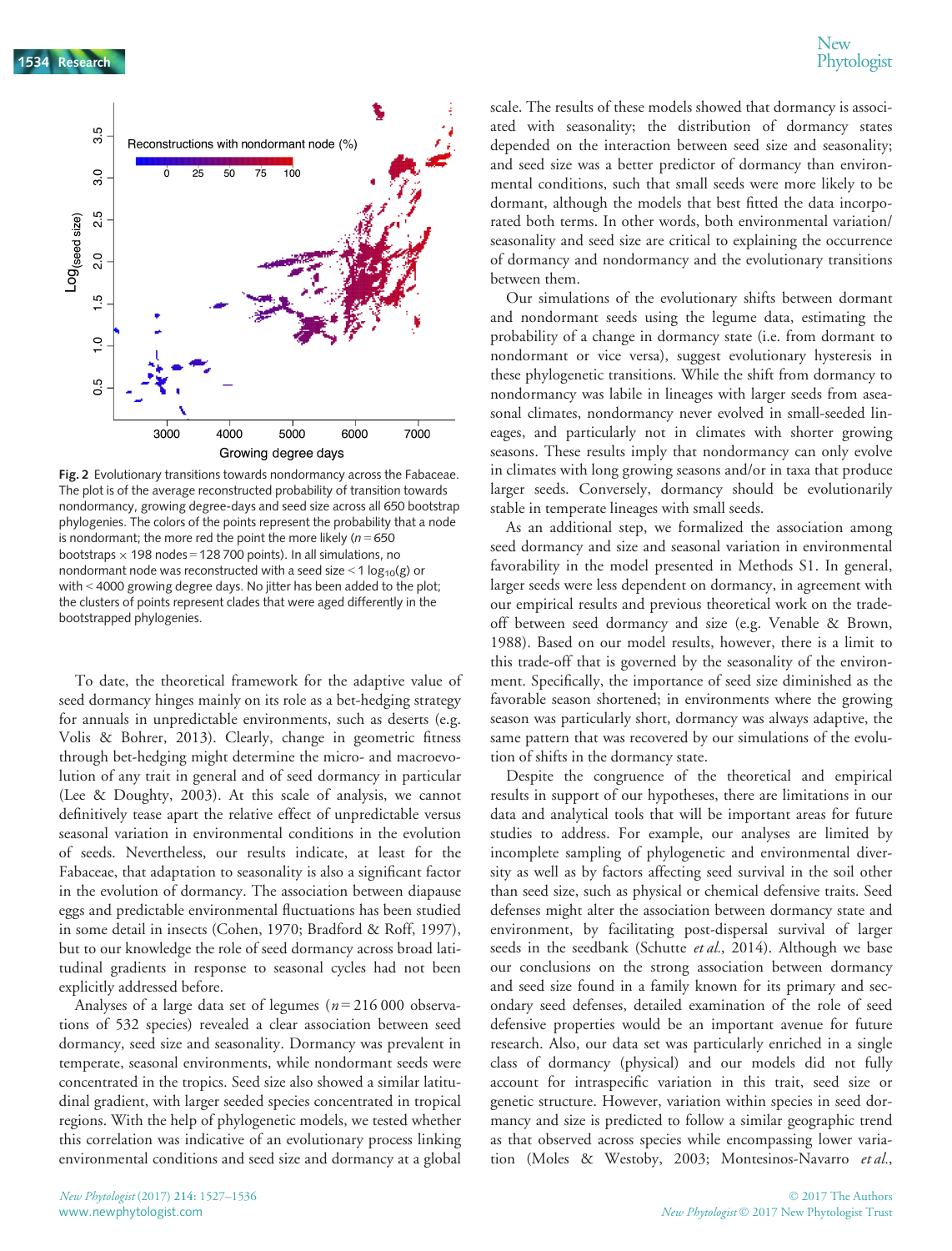

Fig. 2 Evolutionary transitions towards nondormancy across the Fabaceae. The plot is of the average reconstructed probability of transition towards nondormancy, growing degree-days and seed size across all 650 bootstrap phylogenies. The colors of the points represent the probability that a node is nondormant; the more red the point the more likely ( $n = 650$ bootstraps  $\times$  198 nodes = 128 700 points). In all simulations, no nondormant node was reconstructed with a seed size < 1  $log_{10}(g)$  or with < 4000 growing degree days. No jitter has been added to the plot; the clusters of points represent clades that were aged differently in the bootstrapped phylogenies.

To date, the theoretical framework for the adaptive value of seed dormancy hinges mainly on its role as a bet-hedging strategy for annuals in unpredictable environments, such as deserts (e.g. Volis & Bohrer, 2013). Clearly, change in geometric fitness through bet-hedging might determine the micro- and macroevolution of any trait in general and of seed dormancy in particular (Lee & Doughty, 2003). At this scale of analysis, we cannot definitively tease apart the relative effect of unpredictable versus seasonal variation in environmental conditions in the evolution of seeds. Nevertheless, our results indicate, at least for the Fabaceae, that adaptation to seasonality is also a significant factor in the evolution of dormancy. The association between diapause eggs and predictable environmental fluctuations has been studied in some detail in insects (Cohen, 1970; Bradford & Roff, 1997), but to our knowledge the role of seed dormancy across broad latitudinal gradients in response to seasonal cycles had not been explicitly addressed before.

Analyses of a large data set of legumes ( $n = 216000$  observations of 532 species) revealed a clear association between seed dormancy, seed size and seasonality. Dormancy was prevalent in temperate, seasonal environments, while nondormant seeds were concentrated in the tropics. Seed size also showed a similar latitudinal gradient, with larger seeded species concentrated in tropical regions. With the help of phylogenetic models, we tested whether this correlation was indicative of an evolutionary process linking environmental conditions and seed size and dormancy at a global

scale. The results of these models showed that dormancy is associated with seasonality; the distribution of dormancy states depended on the interaction between seed size and seasonality; and seed size was a better predictor of dormancy than environmental conditions, such that small seeds were more likely to be dormant, although the models that best fitted the data incorporated both terms. In other words, both environmental variation/ seasonality and seed size are critical to explaining the occurrence of dormancy and nondormancy and the evolutionary transitions between them.

Our simulations of the evolutionary shifts between dormant and nondormant seeds using the legume data, estimating the probability of a change in dormancy state (i.e. from dormant to nondormant or vice versa), suggest evolutionary hysteresis in these phylogenetic transitions. While the shift from dormancy to nondormancy was labile in lineages with larger seeds from aseasonal climates, nondormancy never evolved in small-seeded lineages, and particularly not in climates with shorter growing seasons. These results imply that nondormancy can only evolve in climates with long growing seasons and/or in taxa that produce larger seeds. Conversely, dormancy should be evolutionarily stable in temperate lineages with small seeds.

As an additional step, we formalized the association among seed dormancy and size and seasonal variation in environmental favorability in the model presented in Methods S1. In general, larger seeds were less dependent on dormancy, in agreement with our empirical results and previous theoretical work on the tradeoff between seed dormancy and size (e.g. Venable & Brown, 1988). Based on our model results, however, there is a limit to this trade-off that is governed by the seasonality of the environment. Specifically, the importance of seed size diminished as the favorable season shortened; in environments where the growing season was particularly short, dormancy was always adaptive, the same pattern that was recovered by our simulations of the evolution of shifts in the dormancy state.

Despite the congruence of the theoretical and empirical results in support of our hypotheses, there are limitations in our data and analytical tools that will be important areas for future studies to address. For example, our analyses are limited by incomplete sampling of phylogenetic and environmental diversity as well as by factors affecting seed survival in the soil other than seed size, such as physical or chemical defensive traits. Seed defenses might alter the association between dormancy state and environment, by facilitating post-dispersal survival of larger seeds in the seedbank (Schutte et al., 2014). Although we base our conclusions on the strong association between dormancy and seed size found in a family known for its primary and secondary seed defenses, detailed examination of the role of seed defensive properties would be an important avenue for future research. Also, our data set was particularly enriched in a single class of dormancy (physical) and our models did not fully account for intraspecific variation in this trait, seed size or genetic structure. However, variation within species in seed dormancy and size is predicted to follow a similar geographic trend as that observed across species while encompassing lower variation (Moles & Westoby, 2003; Montesinos-Navarro et al.,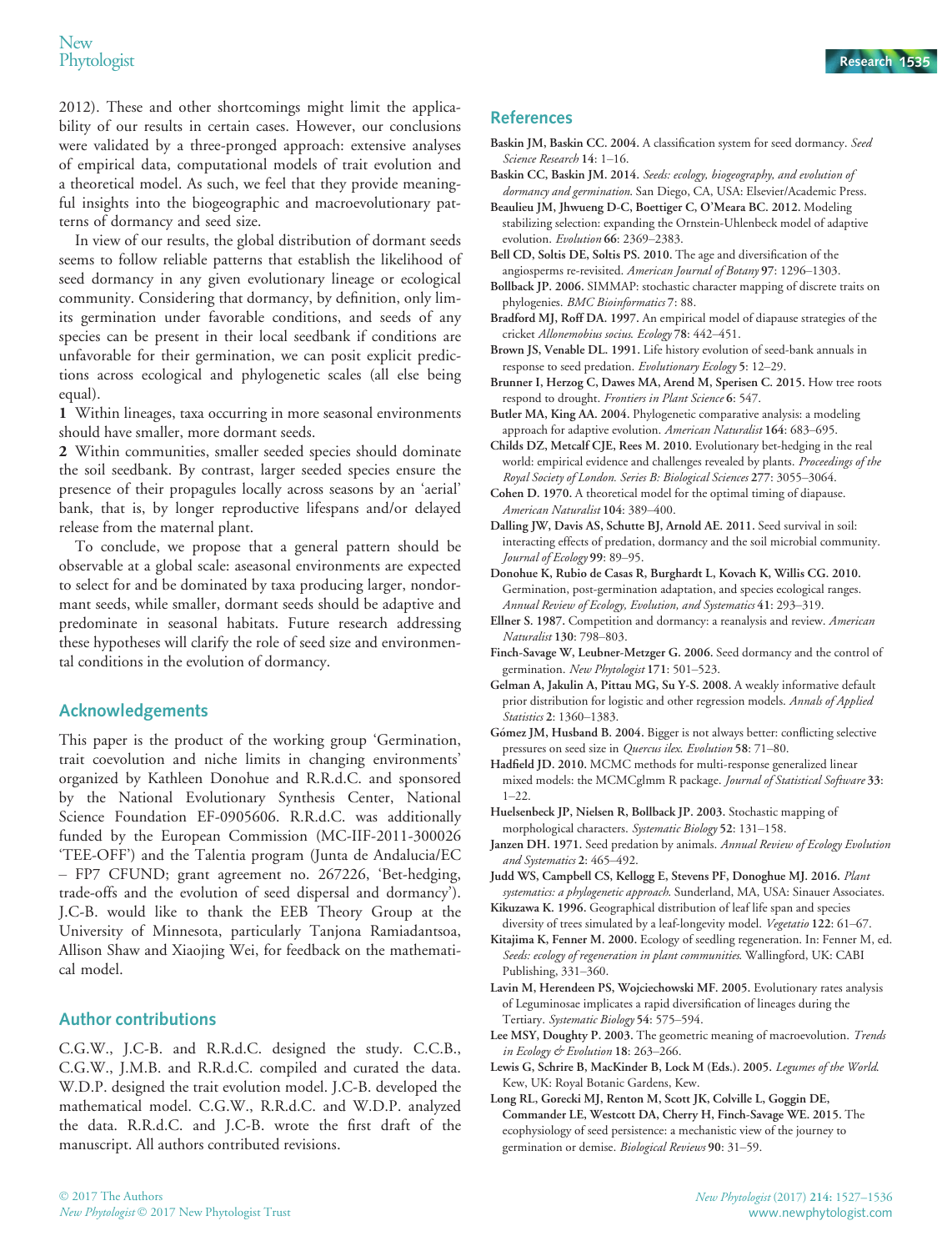2012). These and other shortcomings might limit the applicability of our results in certain cases. However, our conclusions were validated by a three-pronged approach: extensive analyses of empirical data, computational models of trait evolution and a theoretical model. As such, we feel that they provide meaningful insights into the biogeographic and macroevolutionary patterns of dormancy and seed size.

In view of our results, the global distribution of dormant seeds seems to follow reliable patterns that establish the likelihood of seed dormancy in any given evolutionary lineage or ecological community. Considering that dormancy, by definition, only limits germination under favorable conditions, and seeds of any species can be present in their local seedbank if conditions are unfavorable for their germination, we can posit explicit predictions across ecological and phylogenetic scales (all else being equal).

1 Within lineages, taxa occurring in more seasonal environments should have smaller, more dormant seeds.

2 Within communities, smaller seeded species should dominate the soil seedbank. By contrast, larger seeded species ensure the presence of their propagules locally across seasons by an 'aerial' bank, that is, by longer reproductive lifespans and/or delayed release from the maternal plant.

To conclude, we propose that a general pattern should be observable at a global scale: aseasonal environments are expected to select for and be dominated by taxa producing larger, nondormant seeds, while smaller, dormant seeds should be adaptive and predominate in seasonal habitats. Future research addressing these hypotheses will clarify the role of seed size and environmental conditions in the evolution of dormancy.

# Acknowledgements

This paper is the product of the working group 'Germination, trait coevolution and niche limits in changing environments' organized by Kathleen Donohue and R.R.d.C. and sponsored by the National Evolutionary Synthesis Center, National Science Foundation EF-0905606. R.R.d.C. was additionally funded by the European Commission (MC-IIF-2011-300026 'TEE-OFF') and the Talentia program (Junta de Andalucia/EC – FP7 CFUND; grant agreement no. 267226, 'Bet-hedging, trade-offs and the evolution of seed dispersal and dormancy'). J.C-B. would like to thank the EEB Theory Group at the University of Minnesota, particularly Tanjona Ramiadantsoa, Allison Shaw and Xiaojing Wei, for feedback on the mathematical model.

# Author contributions

C.G.W., J.C-B. and R.R.d.C. designed the study. C.C.B., C.G.W., J.M.B. and R.R.d.C. compiled and curated the data. W.D.P. designed the trait evolution model. J.C-B. developed the mathematical model. C.G.W., R.R.d.C. and W.D.P. analyzed the data. R.R.d.C. and J.C-B. wrote the first draft of the manuscript. All authors contributed revisions.

# References

Baskin JM, Baskin CC. 2004. A classification system for seed dormancy. Seed Science Research 14: 1–16.

Baskin CC, Baskin JM. 2014. Seeds: ecology, biogeography, and evolution of dormancy and germination. San Diego, CA, USA: Elsevier/Academic Press.

Beaulieu JM, Jhwueng D-C, Boettiger C, O'Meara BC. 2012. Modeling stabilizing selection: expanding the Ornstein-Uhlenbeck model of adaptive evolution. Evolution 66: 2369–2383.

Bell CD, Soltis DE, Soltis PS. 2010. The age and diversification of the angiosperms re-revisited. American Journal of Botany 97: 1296–1303.

Bollback JP. 2006. SIMMAP: stochastic character mapping of discrete traits on phylogenies. BMC Bioinformatics 7: 88.

Bradford MJ, Roff DA. 1997. An empirical model of diapause strategies of the cricket Allonemobius socius. Ecology 78: 442–451.

Brown JS, Venable DL. 1991. Life history evolution of seed-bank annuals in response to seed predation. Evolutionary Ecology 5: 12–29.

Brunner I, Herzog C, Dawes MA, Arend M, Sperisen C. 2015. How tree roots respond to drought. Frontiers in Plant Science 6: 547.

Butler MA, King AA. 2004. Phylogenetic comparative analysis: a modeling approach for adaptive evolution. American Naturalist 164: 683–695.

Childs DZ, Metcalf CJE, Rees M. 2010. Evolutionary bet-hedging in the real world: empirical evidence and challenges revealed by plants. Proceedings of the Royal Society of London. Series B: Biological Sciences 277: 3055–3064.

Cohen D. 1970. A theoretical model for the optimal timing of diapause. American Naturalist 104: 389–400.

Dalling JW, Davis AS, Schutte BJ, Arnold AE. 2011. Seed survival in soil: interacting effects of predation, dormancy and the soil microbial community. Journal of Ecology 99: 89–95.

Donohue K, Rubio de Casas R, Burghardt L, Kovach K, Willis CG. 2010. Germination, post-germination adaptation, and species ecological ranges. Annual Review of Ecology, Evolution, and Systematics 41: 293–319.

Ellner S. 1987. Competition and dormancy: a reanalysis and review. American Naturalist 130: 798–803.

Finch-Savage W, Leubner-Metzger G. 2006. Seed dormancy and the control of germination. New Phytologist 171: 501-523.

- Gelman A, Jakulin A, Pittau MG, Su Y-S. 2008. A weakly informative default prior distribution for logistic and other regression models. Annals of Applied Statistics 2: 1360–1383.
- Gómez JM, Husband B. 2004. Bigger is not always better: conflicting selective pressures on seed size in Quercus ilex. Evolution 58: 71–80.
- Hadfield JD. 2010. MCMC methods for multi-response generalized linear mixed models: the MCMCglmm R package. Journal of Statistical Software 33: 1–22.
- Huelsenbeck JP, Nielsen R, Bollback JP. 2003. Stochastic mapping of morphological characters. Systematic Biology 52: 131–158.

Janzen DH. 1971. Seed predation by animals. Annual Review of Ecology Evolution and Systematics 2: 465–492.

Judd WS, Campbell CS, Kellogg E, Stevens PF, Donoghue MJ. 2016. Plant systematics: a phylogenetic approach. Sunderland, MA, USA: Sinauer Associates.

Kikuzawa K. 1996. Geographical distribution of leaf life span and species diversity of trees simulated by a leaf-longevity model. Vegetatio 122: 61-67.

Kitajima K, Fenner M. 2000. Ecology of seedling regeneration. In: Fenner M, ed. Seeds: ecology of regeneration in plant communities. Wallingford, UK: CABI Publishing, 331–360.

Lavin M, Herendeen PS, Wojciechowski MF. 2005. Evolutionary rates analysis of Leguminosae implicates a rapid diversification of lineages during the Tertiary. Systematic Biology 54: 575–594.

Lee MSY, Doughty P. 2003. The geometric meaning of macroevolution. Trends in Ecology & Evolution 18: 263-266.

Lewis G, Schrire B, MacKinder B, Lock M (Eds.). 2005. Legumes of the World. Kew, UK: Royal Botanic Gardens, Kew.

Long RL, Gorecki MJ, Renton M, Scott JK, Colville L, Goggin DE, Commander LE, Westcott DA, Cherry H, Finch-Savage WE. 2015. The ecophysiology of seed persistence: a mechanistic view of the journey to germination or demise. Biological Reviews 90: 31–59.